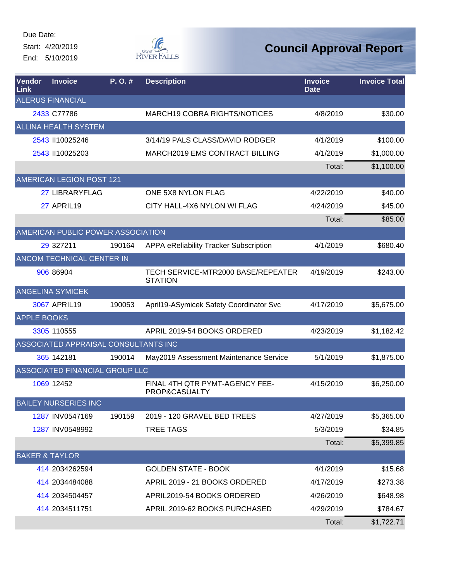Due Date: Start: 4/20/2019

End: 5/10/2019



| <b>Vendor</b><br><b>Link</b> | <b>Invoice</b>                       | P.O.#  | <b>Description</b>                                   | <b>Invoice</b><br><b>Date</b> | <b>Invoice Total</b> |
|------------------------------|--------------------------------------|--------|------------------------------------------------------|-------------------------------|----------------------|
|                              | <b>ALERUS FINANCIAL</b>              |        |                                                      |                               |                      |
|                              | 2433 C77786                          |        | <b>MARCH19 COBRA RIGHTS/NOTICES</b>                  | 4/8/2019                      | \$30.00              |
|                              | <b>ALLINA HEALTH SYSTEM</b>          |        |                                                      |                               |                      |
|                              | 2543 II10025246                      |        | 3/14/19 PALS CLASS/DAVID RODGER                      | 4/1/2019                      | \$100.00             |
|                              | 2543 II10025203                      |        | MARCH2019 EMS CONTRACT BILLING                       | 4/1/2019                      | \$1,000.00           |
|                              |                                      |        |                                                      | Total:                        | \$1,100.00           |
|                              | <b>AMERICAN LEGION POST 121</b>      |        |                                                      |                               |                      |
|                              | 27 LIBRARYFLAG                       |        | ONE 5X8 NYLON FLAG                                   | 4/22/2019                     | \$40.00              |
|                              | 27 APRIL19                           |        | CITY HALL-4X6 NYLON WI FLAG                          | 4/24/2019                     | \$45.00              |
|                              |                                      |        |                                                      | Total:                        | \$85.00              |
|                              | AMERICAN PUBLIC POWER ASSOCIATION    |        |                                                      |                               |                      |
|                              | 29 327211                            | 190164 | APPA eReliability Tracker Subscription               | 4/1/2019                      | \$680.40             |
|                              | ANCOM TECHNICAL CENTER IN            |        |                                                      |                               |                      |
|                              | 906 86904                            |        | TECH SERVICE-MTR2000 BASE/REPEATER<br><b>STATION</b> | 4/19/2019                     | \$243.00             |
|                              | <b>ANGELINA SYMICEK</b>              |        |                                                      |                               |                      |
|                              | 3067 APRIL19                         | 190053 | April19-ASymicek Safety Coordinator Svc              | 4/17/2019                     | \$5,675.00           |
| <b>APPLE BOOKS</b>           |                                      |        |                                                      |                               |                      |
|                              | 3305 110555                          |        | APRIL 2019-54 BOOKS ORDERED                          | 4/23/2019                     | \$1,182.42           |
|                              | ASSOCIATED APPRAISAL CONSULTANTS INC |        |                                                      |                               |                      |
|                              | 365 142181                           | 190014 | May2019 Assessment Maintenance Service               | 5/1/2019                      | \$1,875.00           |
|                              | ASSOCIATED FINANCIAL GROUP LLC       |        |                                                      |                               |                      |
|                              | 1069 12452                           |        | FINAL 4TH QTR PYMT-AGENCY FEE-<br>PROP&CASUALTY      | 4/15/2019                     | \$6,250.00           |
|                              | <b>BAILEY NURSERIES INC</b>          |        |                                                      |                               |                      |
|                              | 1287 INV0547169                      | 190159 | 2019 - 120 GRAVEL BED TREES                          | 4/27/2019                     | \$5,365.00           |
|                              | 1287 INV0548992                      |        | <b>TREE TAGS</b>                                     | 5/3/2019                      | \$34.85              |
|                              |                                      |        |                                                      | Total:                        | \$5,399.85           |
|                              | <b>BAKER &amp; TAYLOR</b>            |        |                                                      |                               |                      |
|                              | 414 2034262594                       |        | <b>GOLDEN STATE - BOOK</b>                           | 4/1/2019                      | \$15.68              |
|                              | 414 2034484088                       |        | APRIL 2019 - 21 BOOKS ORDERED                        | 4/17/2019                     | \$273.38             |
|                              | 414 2034504457                       |        | APRIL2019-54 BOOKS ORDERED                           | 4/26/2019                     | \$648.98             |
|                              | 414 2034511751                       |        | APRIL 2019-62 BOOKS PURCHASED                        | 4/29/2019                     | \$784.67             |
|                              |                                      |        |                                                      | Total:                        | \$1,722.71           |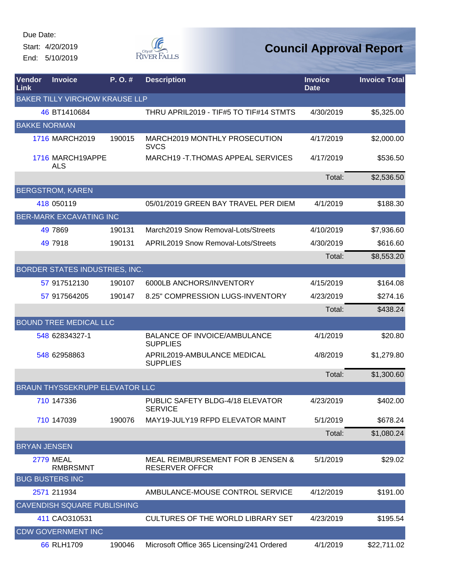Start: 4/20/2019 End: 5/10/2019



| Vendor<br>Link      | <b>Invoice</b>                        | P. O. # | <b>Description</b>                                         | <b>Invoice</b><br><b>Date</b> | <b>Invoice Total</b> |
|---------------------|---------------------------------------|---------|------------------------------------------------------------|-------------------------------|----------------------|
|                     | <b>BAKER TILLY VIRCHOW KRAUSE LLP</b> |         |                                                            |                               |                      |
|                     | 46 BT1410684                          |         | THRU APRIL2019 - TIF#5 TO TIF#14 STMTS                     | 4/30/2019                     | \$5,325.00           |
|                     | <b>BAKKE NORMAN</b>                   |         |                                                            |                               |                      |
|                     | 1716 MARCH2019                        | 190015  | MARCH2019 MONTHLY PROSECUTION<br><b>SVCS</b>               | 4/17/2019                     | \$2,000.00           |
|                     | 1716 MARCH19APPE<br><b>ALS</b>        |         | MARCH19 - T. THOMAS APPEAL SERVICES                        | 4/17/2019                     | \$536.50             |
|                     |                                       |         |                                                            | Total:                        | \$2,536.50           |
|                     | <b>BERGSTROM, KAREN</b>               |         |                                                            |                               |                      |
|                     | 418 050119                            |         | 05/01/2019 GREEN BAY TRAVEL PER DIEM                       | 4/1/2019                      | \$188.30             |
|                     | <b>BER-MARK EXCAVATING INC</b>        |         |                                                            |                               |                      |
|                     | 49 7869                               | 190131  | March2019 Snow Removal-Lots/Streets                        | 4/10/2019                     | \$7,936.60           |
|                     | 49 7918                               | 190131  | <b>APRIL2019 Snow Removal-Lots/Streets</b>                 | 4/30/2019                     | \$616.60             |
|                     |                                       |         |                                                            | Total:                        | \$8,553.20           |
|                     | BORDER STATES INDUSTRIES, INC.        |         |                                                            |                               |                      |
|                     | 57 917512130                          | 190107  | 6000LB ANCHORS/INVENTORY                                   | 4/15/2019                     | \$164.08             |
|                     | 57 917564205                          | 190147  | 8.25" COMPRESSION LUGS-INVENTORY                           | 4/23/2019                     | \$274.16             |
|                     |                                       |         |                                                            | Total:                        | \$438.24             |
|                     | <b>BOUND TREE MEDICAL LLC</b>         |         |                                                            |                               |                      |
|                     | 548 62834327-1                        |         | <b>BALANCE OF INVOICE/AMBULANCE</b><br><b>SUPPLIES</b>     | 4/1/2019                      | \$20.80              |
|                     | 548 62958863                          |         | APRIL2019-AMBULANCE MEDICAL<br><b>SUPPLIES</b>             | 4/8/2019                      | \$1,279.80           |
|                     |                                       |         |                                                            | Total:                        | \$1,300.60           |
|                     | BRAUN THYSSEKRUPP ELEVATOR LLC        |         |                                                            |                               |                      |
|                     | 710 147336                            |         | PUBLIC SAFETY BLDG-4/18 ELEVATOR<br><b>SERVICE</b>         | 4/23/2019                     | \$402.00             |
|                     | 710 147039                            | 190076  | MAY19-JULY19 RFPD ELEVATOR MAINT                           | 5/1/2019                      | \$678.24             |
|                     |                                       |         |                                                            | Total:                        | \$1,080.24           |
| <b>BRYAN JENSEN</b> |                                       |         |                                                            |                               |                      |
|                     | <b>2779 MEAL</b><br><b>RMBRSMNT</b>   |         | MEAL REIMBURSEMENT FOR B JENSEN &<br><b>RESERVER OFFCR</b> | 5/1/2019                      | \$29.02              |
|                     | <b>BUG BUSTERS INC</b>                |         |                                                            |                               |                      |
|                     | 2571 211934                           |         | AMBULANCE-MOUSE CONTROL SERVICE                            | 4/12/2019                     | \$191.00             |
|                     | <b>CAVENDISH SQUARE PUBLISHING</b>    |         |                                                            |                               |                      |
|                     | 411 CAO310531                         |         | <b>CULTURES OF THE WORLD LIBRARY SET</b>                   | 4/23/2019                     | \$195.54             |
|                     | <b>CDW GOVERNMENT INC</b>             |         |                                                            |                               |                      |
|                     | 66 RLH1709                            | 190046  | Microsoft Office 365 Licensing/241 Ordered                 | 4/1/2019                      | \$22,711.02          |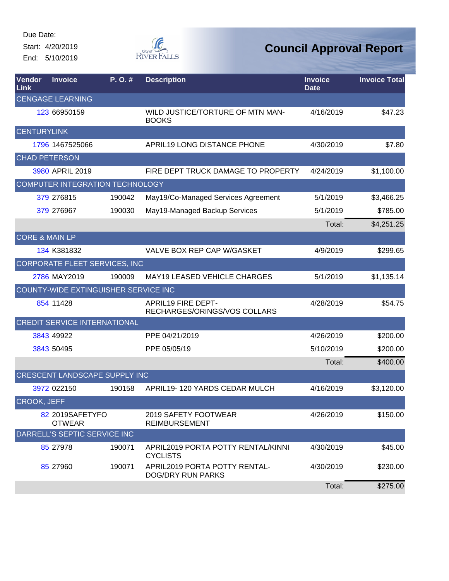Start: 4/20/2019 End: 5/10/2019



| <b>Vendor</b><br><b>Link</b> | <b>Invoice</b>                   | P.O.#                                | <b>Description</b>                                        | <b>Invoice</b><br><b>Date</b> | <b>Invoice Total</b> |
|------------------------------|----------------------------------|--------------------------------------|-----------------------------------------------------------|-------------------------------|----------------------|
|                              | <b>CENGAGE LEARNING</b>          |                                      |                                                           |                               |                      |
|                              | 123 66950159                     |                                      | WILD JUSTICE/TORTURE OF MTN MAN-<br><b>BOOKS</b>          | 4/16/2019                     | \$47.23              |
| <b>CENTURYLINK</b>           |                                  |                                      |                                                           |                               |                      |
|                              | 1796 1467525066                  |                                      | APRIL19 LONG DISTANCE PHONE                               | 4/30/2019                     | \$7.80               |
| <b>CHAD PETERSON</b>         |                                  |                                      |                                                           |                               |                      |
|                              | 3980 APRIL 2019                  |                                      | FIRE DEPT TRUCK DAMAGE TO PROPERTY                        | 4/24/2019                     | \$1,100.00           |
|                              |                                  | COMPUTER INTEGRATION TECHNOLOGY      |                                                           |                               |                      |
|                              | 379 276815                       | 190042                               | May19/Co-Managed Services Agreement                       | 5/1/2019                      | \$3,466.25           |
|                              | 379 276967                       | 190030                               | May19-Managed Backup Services                             | 5/1/2019                      | \$785.00             |
|                              |                                  |                                      |                                                           | Total:                        | \$4,251.25           |
| <b>CORE &amp; MAIN LP</b>    |                                  |                                      |                                                           |                               |                      |
|                              | 134 K381832                      |                                      | VALVE BOX REP CAP W/GASKET                                | 4/9/2019                      | \$299.65             |
|                              |                                  | CORPORATE FLEET SERVICES, INC        |                                                           |                               |                      |
|                              | 2786 MAY2019                     | 190009                               | <b>MAY19 LEASED VEHICLE CHARGES</b>                       | 5/1/2019                      | \$1,135.14           |
|                              |                                  | COUNTY-WIDE EXTINGUISHER SERVICE INC |                                                           |                               |                      |
|                              | 854 11428                        |                                      | APRIL19 FIRE DEPT-<br>RECHARGES/ORINGS/VOS COLLARS        | 4/28/2019                     | \$54.75              |
|                              |                                  | <b>CREDIT SERVICE INTERNATIONAL</b>  |                                                           |                               |                      |
|                              | 3843 49922                       |                                      | PPE 04/21/2019                                            | 4/26/2019                     | \$200.00             |
|                              | 3843 50495                       |                                      | PPE 05/05/19                                              | 5/10/2019                     | \$200.00             |
|                              |                                  |                                      |                                                           | Total:                        | \$400.00             |
|                              |                                  | CRESCENT LANDSCAPE SUPPLY INC        |                                                           |                               |                      |
|                              | 3972 022150                      | 190158                               | APRIL19-120 YARDS CEDAR MULCH                             | 4/16/2019                     | \$3,120.00           |
| CROOK, JEFF                  |                                  |                                      |                                                           |                               |                      |
|                              | 82 2019SAFETYFO<br><b>OTWEAR</b> |                                      | 2019 SAFETY FOOTWEAR<br><b>REIMBURSEMENT</b>              | 4/26/2019                     | \$150.00             |
|                              | DARRELL'S SEPTIC SERVICE INC     |                                      |                                                           |                               |                      |
|                              | 85 27978                         | 190071                               | APRIL2019 PORTA POTTY RENTAL/KINNI<br><b>CYCLISTS</b>     | 4/30/2019                     | \$45.00              |
|                              | 85 27960                         | 190071                               | APRIL2019 PORTA POTTY RENTAL-<br><b>DOG/DRY RUN PARKS</b> | 4/30/2019                     | \$230.00             |
|                              |                                  |                                      |                                                           | Total:                        | \$275.00             |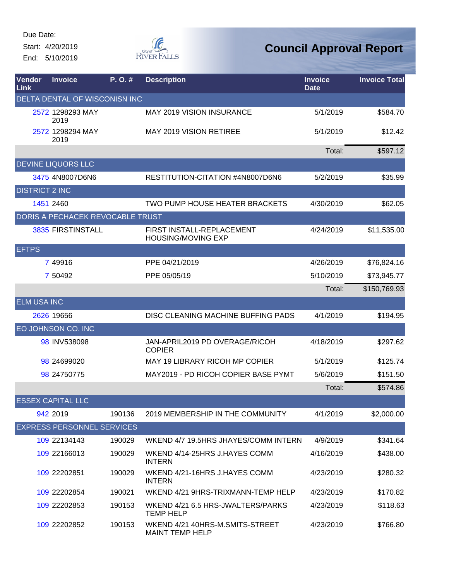Due Date: Start: 4/20/2019

End: 5/10/2019



| Vendor<br>Link        | <b>Invoice</b>                    | P.O.#  | <b>Description</b>                                        | <b>Invoice</b><br><b>Date</b> | <b>Invoice Total</b> |
|-----------------------|-----------------------------------|--------|-----------------------------------------------------------|-------------------------------|----------------------|
|                       | DELTA DENTAL OF WISCONISN INC     |        |                                                           |                               |                      |
|                       | 2572 1298293 MAY<br>2019          |        | <b>MAY 2019 VISION INSURANCE</b>                          | 5/1/2019                      | \$584.70             |
|                       | 2572 1298294 MAY<br>2019          |        | <b>MAY 2019 VISION RETIREE</b>                            | 5/1/2019                      | \$12.42              |
|                       |                                   |        |                                                           | Total:                        | \$597.12             |
|                       | <b>DEVINE LIQUORS LLC</b>         |        |                                                           |                               |                      |
|                       | 3475 4N8007D6N6                   |        | RESTITUTION-CITATION #4N8007D6N6                          | 5/2/2019                      | \$35.99              |
| <b>DISTRICT 2 INC</b> |                                   |        |                                                           |                               |                      |
|                       | 1451 2460                         |        | TWO PUMP HOUSE HEATER BRACKETS                            | 4/30/2019                     | \$62.05              |
|                       | DORIS A PECHACEK REVOCABLE TRUST  |        |                                                           |                               |                      |
|                       | 3835 FIRSTINSTALL                 |        | FIRST INSTALL-REPLACEMENT<br><b>HOUSING/MOVING EXP</b>    | 4/24/2019                     | \$11,535.00          |
| <b>EFTPS</b>          |                                   |        |                                                           |                               |                      |
|                       | 7 49916                           |        | PPE 04/21/2019                                            | 4/26/2019                     | \$76,824.16          |
|                       | 7 50492                           |        | PPE 05/05/19                                              | 5/10/2019                     | \$73,945.77          |
|                       |                                   |        |                                                           | Total:                        | \$150,769.93         |
| <b>ELM USA INC</b>    |                                   |        |                                                           |                               |                      |
|                       | 2626 19656                        |        | DISC CLEANING MACHINE BUFFING PADS                        | 4/1/2019                      | \$194.95             |
|                       | EO JOHNSON CO. INC                |        |                                                           |                               |                      |
|                       | 98 INV538098                      |        | JAN-APRIL2019 PD OVERAGE/RICOH<br><b>COPIER</b>           | 4/18/2019                     | \$297.62             |
|                       | 98 24699020                       |        | MAY 19 LIBRARY RICOH MP COPIER                            | 5/1/2019                      | \$125.74             |
|                       | 98 24750775                       |        | MAY2019 - PD RICOH COPIER BASE PYMT                       | 5/6/2019                      | \$151.50             |
|                       |                                   |        |                                                           | Total:                        | \$574.86             |
|                       | <b>ESSEX CAPITAL LLC</b>          |        |                                                           |                               |                      |
|                       | 942 2019                          | 190136 | 2019 MEMBERSHIP IN THE COMMUNITY                          | 4/1/2019                      | \$2,000.00           |
|                       | <b>EXPRESS PERSONNEL SERVICES</b> |        |                                                           |                               |                      |
|                       | 109 22134143                      | 190029 | WKEND 4/7 19.5HRS JHAYES/COMM INTERN                      | 4/9/2019                      | \$341.64             |
|                       | 109 22166013                      | 190029 | WKEND 4/14-25HRS J.HAYES COMM<br><b>INTERN</b>            | 4/16/2019                     | \$438.00             |
|                       | 109 22202851                      | 190029 | WKEND 4/21-16HRS J.HAYES COMM<br><b>INTERN</b>            | 4/23/2019                     | \$280.32             |
|                       | 109 22202854                      | 190021 | WKEND 4/21 9HRS-TRIXMANN-TEMP HELP                        | 4/23/2019                     | \$170.82             |
|                       | 109 22202853                      | 190153 | WKEND 4/21 6.5 HRS-JWALTERS/PARKS<br><b>TEMP HELP</b>     | 4/23/2019                     | \$118.63             |
|                       | 109 22202852                      | 190153 | WKEND 4/21 40HRS-M.SMITS-STREET<br><b>MAINT TEMP HELP</b> | 4/23/2019                     | \$766.80             |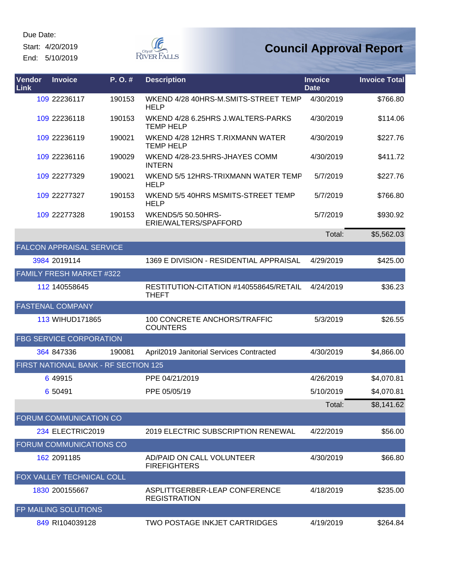Start: 4/20/2019 End: 5/10/2019



| Vendor<br>Link | <b>Invoice</b>                  | P.O.#                                | <b>Description</b>                                     | <b>Invoice</b><br><b>Date</b> | <b>Invoice Total</b> |
|----------------|---------------------------------|--------------------------------------|--------------------------------------------------------|-------------------------------|----------------------|
|                | 109 22236117                    | 190153                               | WKEND 4/28 40HRS-M.SMITS-STREET TEMP<br><b>HELP</b>    | 4/30/2019                     | \$766.80             |
|                | 109 22236118                    | 190153                               | WKEND 4/28 6.25HRS J.WALTERS-PARKS<br><b>TEMP HELP</b> | 4/30/2019                     | \$114.06             |
|                | 109 22236119                    | 190021                               | WKEND 4/28 12HRS T.RIXMANN WATER<br><b>TEMP HELP</b>   | 4/30/2019                     | \$227.76             |
|                | 109 22236116                    | 190029                               | WKEND 4/28-23.5HRS-JHAYES COMM<br><b>INTERN</b>        | 4/30/2019                     | \$411.72             |
|                | 109 22277329                    | 190021                               | WKEND 5/5 12HRS-TRIXMANN WATER TEMP<br><b>HELP</b>     | 5/7/2019                      | \$227.76             |
|                | 109 22277327                    | 190153                               | WKEND 5/5 40HRS MSMITS-STREET TEMP<br><b>HELP</b>      | 5/7/2019                      | \$766.80             |
|                | 109 22277328                    | 190153                               | <b>WKEND5/5 50.50HRS-</b><br>ERIE/WALTERS/SPAFFORD     | 5/7/2019                      | \$930.92             |
|                |                                 |                                      |                                                        | Total:                        | \$5,562.03           |
|                | <b>FALCON APPRAISAL SERVICE</b> |                                      |                                                        |                               |                      |
|                | 3984 2019114                    |                                      | 1369 E DIVISION - RESIDENTIAL APPRAISAL                | 4/29/2019                     | \$425.00             |
|                | FAMILY FRESH MARKET #322        |                                      |                                                        |                               |                      |
|                | 112 140558645                   |                                      | RESTITUTION-CITATION #140558645/RETAIL<br><b>THEFT</b> | 4/24/2019                     | \$36.23              |
|                | <b>FASTENAL COMPANY</b>         |                                      |                                                        |                               |                      |
|                | 113 WIHUD171865                 |                                      | 100 CONCRETE ANCHORS/TRAFFIC<br><b>COUNTERS</b>        | 5/3/2019                      | \$26.55              |
|                | <b>FBG SERVICE CORPORATION</b>  |                                      |                                                        |                               |                      |
|                | 364 847336                      | 190081                               | April2019 Janitorial Services Contracted               | 4/30/2019                     | \$4,866.00           |
|                |                                 | FIRST NATIONAL BANK - RF SECTION 125 |                                                        |                               |                      |
|                | 6 49915                         |                                      | PPE 04/21/2019                                         | 4/26/2019                     | \$4,070.81           |
|                | 6 50491                         |                                      | PPE 05/05/19                                           | 5/10/2019                     | \$4,070.81           |
|                |                                 |                                      |                                                        | Total:                        | \$8,141.62           |
|                | FORUM COMMUNICATION CO          |                                      |                                                        |                               |                      |
|                | 234 ELECTRIC2019                |                                      | <b>2019 ELECTRIC SUBSCRIPTION RENEWAL</b>              | 4/22/2019                     | \$56.00              |
|                | FORUM COMMUNICATIONS CO         |                                      |                                                        |                               |                      |
|                | 162 2091185                     |                                      | AD/PAID ON CALL VOLUNTEER<br><b>FIREFIGHTERS</b>       | 4/30/2019                     | \$66.80              |
|                | FOX VALLEY TECHNICAL COLL       |                                      |                                                        |                               |                      |
|                | 1830 200155667                  |                                      | ASPLITTGERBER-LEAP CONFERENCE<br><b>REGISTRATION</b>   | 4/18/2019                     | \$235.00             |
|                | FP MAILING SOLUTIONS            |                                      |                                                        |                               |                      |
|                | 849 RI104039128                 |                                      | TWO POSTAGE INKJET CARTRIDGES                          | 4/19/2019                     | \$264.84             |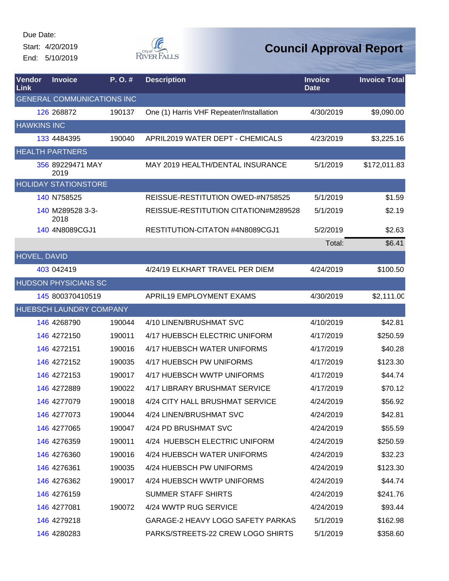Start: 4/20/2019 End: 5/10/2019



| Vendor<br>Link     | <b>Invoice</b>                    | P.O.#  | <b>Description</b>                       | <b>Invoice</b><br><b>Date</b> | <b>Invoice Total</b> |
|--------------------|-----------------------------------|--------|------------------------------------------|-------------------------------|----------------------|
|                    | <b>GENERAL COMMUNICATIONS INC</b> |        |                                          |                               |                      |
|                    | 126 268872                        | 190137 | One (1) Harris VHF Repeater/Installation | 4/30/2019                     | \$9,090.00           |
| <b>HAWKINS INC</b> |                                   |        |                                          |                               |                      |
|                    | 133 4484395                       | 190040 | APRIL2019 WATER DEPT - CHEMICALS         | 4/23/2019                     | \$3,225.16           |
|                    | <b>HEALTH PARTNERS</b>            |        |                                          |                               |                      |
|                    | 356 89229471 MAY<br>2019          |        | MAY 2019 HEALTH/DENTAL INSURANCE         | 5/1/2019                      | \$172,011.83         |
|                    | <b>HOLIDAY STATIONSTORE</b>       |        |                                          |                               |                      |
|                    | 140 N758525                       |        | REISSUE-RESTITUTION OWED-#N758525        | 5/1/2019                      | \$1.59               |
|                    | 140 M289528 3-3-<br>2018          |        | REISSUE-RESTITUTION CITATION#M289528     | 5/1/2019                      | \$2.19               |
|                    | 140 4N8089CGJ1                    |        | RESTITUTION-CITATON #4N8089CGJ1          | 5/2/2019                      | \$2.63               |
|                    |                                   |        |                                          | Total:                        | \$6.41               |
| HOVEL, DAVID       |                                   |        |                                          |                               |                      |
|                    | 403 042419                        |        | 4/24/19 ELKHART TRAVEL PER DIEM          | 4/24/2019                     | \$100.50             |
|                    | <b>HUDSON PHYSICIANS SC</b>       |        |                                          |                               |                      |
|                    | 145 800370410519                  |        | APRIL19 EMPLOYMENT EXAMS                 | 4/30/2019                     | \$2,111.00           |
|                    | HUEBSCH LAUNDRY COMPANY           |        |                                          |                               |                      |
|                    | 146 4268790                       | 190044 | 4/10 LINEN/BRUSHMAT SVC                  | 4/10/2019                     | \$42.81              |
|                    | 146 4272150                       | 190011 | 4/17 HUEBSCH ELECTRIC UNIFORM            | 4/17/2019                     | \$250.59             |
|                    | 146 4272151                       | 190016 | 4/17 HUEBSCH WATER UNIFORMS              | 4/17/2019                     | \$40.28              |
|                    | 146 4272152                       | 190035 | 4/17 HUEBSCH PW UNIFORMS                 | 4/17/2019                     | \$123.30             |
|                    | 146 4272153                       | 190017 | 4/17 HUEBSCH WWTP UNIFORMS               | 4/17/2019                     | \$44.74              |
|                    | 146 4272889                       | 190022 | 4/17 LIBRARY BRUSHMAT SERVICE            | 4/17/2019                     | \$70.12              |
|                    | 146 4277079                       | 190018 | 4/24 CITY HALL BRUSHMAT SERVICE          | 4/24/2019                     | \$56.92              |
|                    | 146 4277073                       | 190044 | 4/24 LINEN/BRUSHMAT SVC                  | 4/24/2019                     | \$42.81              |
|                    | 146 4277065                       | 190047 | 4/24 PD BRUSHMAT SVC                     | 4/24/2019                     | \$55.59              |
|                    | 146 4276359                       | 190011 | 4/24 HUEBSCH ELECTRIC UNIFORM            | 4/24/2019                     | \$250.59             |
|                    | 146 4276360                       | 190016 | 4/24 HUEBSCH WATER UNIFORMS              | 4/24/2019                     | \$32.23              |
|                    | 146 4276361                       | 190035 | 4/24 HUEBSCH PW UNIFORMS                 | 4/24/2019                     | \$123.30             |
|                    | 146 4276362                       | 190017 | 4/24 HUEBSCH WWTP UNIFORMS               | 4/24/2019                     | \$44.74              |
|                    | 146 4276159                       |        | <b>SUMMER STAFF SHIRTS</b>               | 4/24/2019                     | \$241.76             |
|                    | 146 4277081                       | 190072 | 4/24 WWTP RUG SERVICE                    | 4/24/2019                     | \$93.44              |
|                    | 146 4279218                       |        | GARAGE-2 HEAVY LOGO SAFETY PARKAS        | 5/1/2019                      | \$162.98             |
|                    | 146 4280283                       |        | PARKS/STREETS-22 CREW LOGO SHIRTS        | 5/1/2019                      | \$358.60             |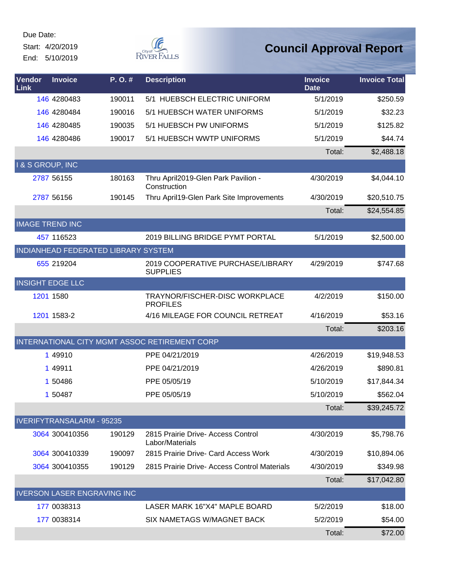Start: 4/20/2019 End: 5/10/2019



| <b>Vendor</b><br>Link  | <b>Invoice</b>                   | P.O.#                               | <b>Description</b>                                    | <b>Invoice</b><br><b>Date</b> | <b>Invoice Total</b> |
|------------------------|----------------------------------|-------------------------------------|-------------------------------------------------------|-------------------------------|----------------------|
|                        | 146 4280483                      | 190011                              | 5/1 HUEBSCH ELECTRIC UNIFORM                          | 5/1/2019                      | \$250.59             |
|                        | 146 4280484                      | 190016                              | 5/1 HUEBSCH WATER UNIFORMS                            | 5/1/2019                      | \$32.23              |
|                        | 146 4280485                      | 190035                              | 5/1 HUEBSCH PW UNIFORMS                               | 5/1/2019                      | \$125.82             |
|                        | 146 4280486                      | 190017                              | 5/1 HUEBSCH WWTP UNIFORMS                             | 5/1/2019                      | \$44.74              |
|                        |                                  |                                     |                                                       | Total:                        | \$2,488.18           |
| I & S GROUP, INC       |                                  |                                     |                                                       |                               |                      |
|                        | 2787 56155                       | 180163                              | Thru April2019-Glen Park Pavilion -<br>Construction   | 4/30/2019                     | \$4,044.10           |
|                        | 2787 56156                       | 190145                              | Thru April19-Glen Park Site Improvements              | 4/30/2019                     | \$20,510.75          |
|                        |                                  |                                     |                                                       | Total:                        | \$24,554.85          |
| <b>IMAGE TREND INC</b> |                                  |                                     |                                                       |                               |                      |
|                        | 457 116523                       |                                     | 2019 BILLING BRIDGE PYMT PORTAL                       | 5/1/2019                      | \$2,500.00           |
|                        |                                  | INDIANHEAD FEDERATED LIBRARY SYSTEM |                                                       |                               |                      |
|                        | 655 219204                       |                                     | 2019 COOPERATIVE PURCHASE/LIBRARY<br><b>SUPPLIES</b>  | 4/29/2019                     | \$747.68             |
|                        | <b>INSIGHT EDGE LLC</b>          |                                     |                                                       |                               |                      |
|                        | 1201 1580                        |                                     | TRAYNOR/FISCHER-DISC WORKPLACE<br><b>PROFILES</b>     | 4/2/2019                      | \$150.00             |
|                        | 1201 1583-2                      |                                     | 4/16 MILEAGE FOR COUNCIL RETREAT                      | 4/16/2019                     | \$53.16              |
|                        |                                  |                                     |                                                       | Total:                        | \$203.16             |
|                        |                                  |                                     | INTERNATIONAL CITY MGMT ASSOC RETIREMENT CORP         |                               |                      |
|                        | 1 49910                          |                                     | PPE 04/21/2019                                        | 4/26/2019                     | \$19,948.53          |
|                        | 1 49911                          |                                     | PPE 04/21/2019                                        | 4/26/2019                     | \$890.81             |
|                        | 1 50486                          |                                     | PPE 05/05/19                                          | 5/10/2019                     | \$17,844.34          |
|                        | 1 50487                          |                                     | PPE 05/05/19                                          | 5/10/2019                     | \$562.04             |
|                        |                                  |                                     |                                                       | Total:                        | \$39,245.72          |
|                        | <b>IVERIFYTRANSALARM - 95235</b> |                                     |                                                       |                               |                      |
|                        | 3064 300410356                   | 190129                              | 2815 Prairie Drive- Access Control<br>Labor/Materials | 4/30/2019                     | \$5,798.76           |
|                        | 3064 300410339                   | 190097                              | 2815 Prairie Drive- Card Access Work                  | 4/30/2019                     | \$10,894.06          |
|                        | 3064 300410355                   | 190129                              | 2815 Prairie Drive- Access Control Materials          | 4/30/2019                     | \$349.98             |
|                        |                                  |                                     |                                                       | Total:                        | \$17,042.80          |
|                        |                                  | <b>IVERSON LASER ENGRAVING INC</b>  |                                                       |                               |                      |
|                        | 177 0038313                      |                                     | LASER MARK 16"X4" MAPLE BOARD                         | 5/2/2019                      | \$18.00              |
|                        | 177 0038314                      |                                     | SIX NAMETAGS W/MAGNET BACK                            | 5/2/2019                      | \$54.00              |
|                        |                                  |                                     |                                                       | Total:                        | \$72.00              |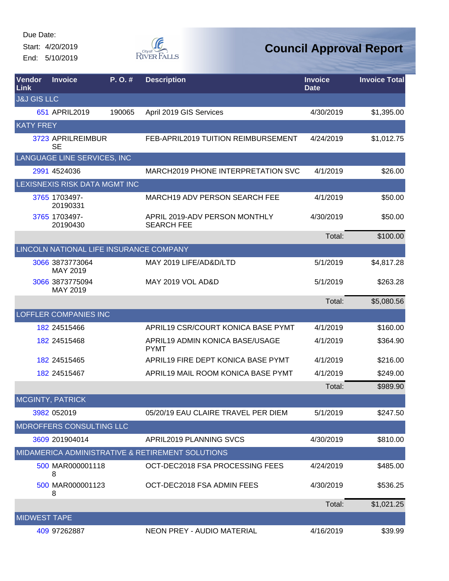Start: 4/20/2019 End: 5/10/2019



| <b>Vendor</b><br>Link  | <b>Invoice</b>                          | P.O.#  | <b>Description</b>                                 | <b>Invoice</b><br><b>Date</b> | <b>Invoice Total</b> |
|------------------------|-----------------------------------------|--------|----------------------------------------------------|-------------------------------|----------------------|
| <b>J&amp;J GIS LLC</b> |                                         |        |                                                    |                               |                      |
|                        | 651 APRIL2019                           | 190065 | April 2019 GIS Services                            | 4/30/2019                     | \$1,395.00           |
| <b>KATY FREY</b>       |                                         |        |                                                    |                               |                      |
|                        | 3723 APRILREIMBUR<br><b>SE</b>          |        | FEB-APRIL2019 TUITION REIMBURSEMENT                | 4/24/2019                     | \$1,012.75           |
|                        | LANGUAGE LINE SERVICES, INC             |        |                                                    |                               |                      |
|                        | 2991 4524036                            |        | <b>MARCH2019 PHONE INTERPRETATION SVC</b>          | 4/1/2019                      | \$26.00              |
|                        | LEXISNEXIS RISK DATA MGMT INC           |        |                                                    |                               |                      |
|                        | 3765 1703497-<br>20190331               |        | <b>MARCH19 ADV PERSON SEARCH FEE</b>               | 4/1/2019                      | \$50.00              |
|                        | 3765 1703497-<br>20190430               |        | APRIL 2019-ADV PERSON MONTHLY<br><b>SEARCH FEE</b> | 4/30/2019                     | \$50.00              |
|                        |                                         |        |                                                    | Total:                        | \$100.00             |
|                        | LINCOLN NATIONAL LIFE INSURANCE COMPANY |        |                                                    |                               |                      |
|                        | 3066 3873773064<br>MAY 2019             |        | MAY 2019 LIFE/AD&D/LTD                             | 5/1/2019                      | \$4,817.28           |
|                        | 3066 3873775094<br>MAY 2019             |        | <b>MAY 2019 VOL AD&amp;D</b>                       | 5/1/2019                      | \$263.28             |
|                        |                                         |        |                                                    | Total:                        | \$5,080.56           |
|                        | <b>LOFFLER COMPANIES INC</b>            |        |                                                    |                               |                      |
|                        | 182 24515466                            |        | APRIL19 CSR/COURT KONICA BASE PYMT                 | 4/1/2019                      | \$160.00             |
|                        | 182 24515468                            |        | APRIL19 ADMIN KONICA BASE/USAGE<br><b>PYMT</b>     | 4/1/2019                      | \$364.90             |
|                        | 182 24515465                            |        | APRIL19 FIRE DEPT KONICA BASE PYMT                 | 4/1/2019                      | \$216.00             |
|                        | 182 24515467                            |        | APRIL19 MAIL ROOM KONICA BASE PYMT                 | 4/1/2019                      | \$249.00             |
|                        |                                         |        |                                                    | Total:                        | \$989.90             |
|                        | MCGINTY, PATRICK                        |        |                                                    |                               |                      |
|                        | 3982 052019                             |        | 05/20/19 EAU CLAIRE TRAVEL PER DIEM                | 5/1/2019                      | \$247.50             |
|                        | MDROFFERS CONSULTING LLC                |        |                                                    |                               |                      |
|                        | 3609 201904014                          |        | APRIL2019 PLANNING SVCS                            | 4/30/2019                     | \$810.00             |
|                        |                                         |        | MIDAMERICA ADMINISTRATIVE & RETIREMENT SOLUTIONS   |                               |                      |
|                        | 500 MAR000001118<br>8                   |        | OCT-DEC2018 FSA PROCESSING FEES                    | 4/24/2019                     | \$485.00             |
|                        | 500 MAR000001123<br>8                   |        | OCT-DEC2018 FSA ADMIN FEES                         | 4/30/2019                     | \$536.25             |
|                        |                                         |        |                                                    | Total:                        | \$1,021.25           |
| <b>MIDWEST TAPE</b>    |                                         |        |                                                    |                               |                      |
|                        | 409 97262887                            |        | NEON PREY - AUDIO MATERIAL                         | 4/16/2019                     | \$39.99              |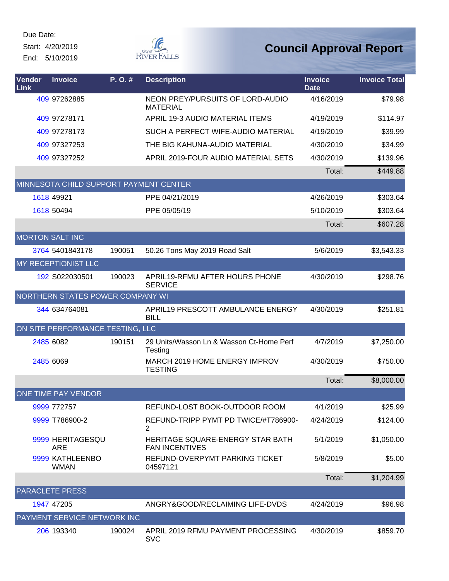Start: 4/20/2019 End: 5/10/2019



| Vendor<br><b>Link</b> | <b>Invoice</b>                         | P.O.#  | <b>Description</b>                                        | <b>Invoice</b><br><b>Date</b> | <b>Invoice Total</b> |
|-----------------------|----------------------------------------|--------|-----------------------------------------------------------|-------------------------------|----------------------|
|                       | 409 97262885                           |        | NEON PREY/PURSUITS OF LORD-AUDIO<br><b>MATERIAL</b>       | 4/16/2019                     | \$79.98              |
|                       | 409 97278171                           |        | APRIL 19-3 AUDIO MATERIAL ITEMS                           | 4/19/2019                     | \$114.97             |
|                       | 409 97278173                           |        | SUCH A PERFECT WIFE-AUDIO MATERIAL                        | 4/19/2019                     | \$39.99              |
|                       | 409 97327253                           |        | THE BIG KAHUNA-AUDIO MATERIAL                             | 4/30/2019                     | \$34.99              |
|                       | 409 97327252                           |        | APRIL 2019-FOUR AUDIO MATERIAL SETS                       | 4/30/2019                     | \$139.96             |
|                       |                                        |        |                                                           | Total:                        | \$449.88             |
|                       | MINNESOTA CHILD SUPPORT PAYMENT CENTER |        |                                                           |                               |                      |
|                       | 1618 49921                             |        | PPE 04/21/2019                                            | 4/26/2019                     | \$303.64             |
|                       | 1618 50494                             |        | PPE 05/05/19                                              | 5/10/2019                     | \$303.64             |
|                       |                                        |        |                                                           | Total:                        | \$607.28             |
|                       | <b>MORTON SALT INC</b>                 |        |                                                           |                               |                      |
|                       | 3764 5401843178                        | 190051 | 50.26 Tons May 2019 Road Salt                             | 5/6/2019                      | \$3,543.33           |
|                       | MY RECEPTIONIST LLC                    |        |                                                           |                               |                      |
|                       | 192 S022030501                         | 190023 | APRIL19-RFMU AFTER HOURS PHONE<br><b>SERVICE</b>          | 4/30/2019                     | \$298.76             |
|                       | NORTHERN STATES POWER COMPANY WI       |        |                                                           |                               |                      |
|                       | 344 634764081                          |        | APRIL19 PRESCOTT AMBULANCE ENERGY<br><b>BILL</b>          | 4/30/2019                     | \$251.81             |
|                       | ON SITE PERFORMANCE TESTING, LLC       |        |                                                           |                               |                      |
|                       | 2485 6082                              | 190151 | 29 Units/Wasson Ln & Wasson Ct-Home Perf<br>Testing       | 4/7/2019                      | \$7,250.00           |
|                       | 2485 6069                              |        | MARCH 2019 HOME ENERGY IMPROV<br><b>TESTING</b>           | 4/30/2019                     | \$750.00             |
|                       |                                        |        |                                                           | Total:                        | \$8,000.00           |
|                       | ONE TIME PAY VENDOR                    |        |                                                           |                               |                      |
|                       | 9999 772757                            |        | REFUND-LOST BOOK-OUTDOOR ROOM                             | 4/1/2019                      | \$25.99              |
|                       | 9999 T786900-2                         |        | REFUND-TRIPP PYMT PD TWICE/#T786900-<br>2                 | 4/24/2019                     | \$124.00             |
|                       | 9999 HERITAGESQU<br><b>ARE</b>         |        | HERITAGE SQUARE-ENERGY STAR BATH<br><b>FAN INCENTIVES</b> | 5/1/2019                      | \$1,050.00           |
|                       | 9999 KATHLEENBO<br><b>WMAN</b>         |        | REFUND-OVERPYMT PARKING TICKET<br>04597121                | 5/8/2019                      | \$5.00               |
|                       |                                        |        |                                                           | Total:                        | \$1,204.99           |
|                       | <b>PARACLETE PRESS</b>                 |        |                                                           |                               |                      |
|                       | 1947 47205                             |        | ANGRY&GOOD/RECLAIMING LIFE-DVDS                           | 4/24/2019                     | \$96.98              |
|                       | PAYMENT SERVICE NETWORK INC            |        |                                                           |                               |                      |
|                       | 206 193340                             | 190024 | APRIL 2019 RFMU PAYMENT PROCESSING<br><b>SVC</b>          | 4/30/2019                     | \$859.70             |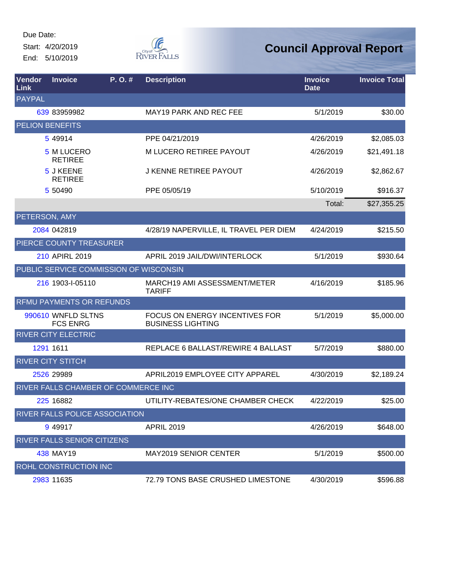Start: 4/20/2019 End: 5/10/2019



| Vendor<br>Link | <b>Invoice</b>                         | P.O.# | <b>Description</b>                                         | <b>Invoice</b><br><b>Date</b> | <b>Invoice Total</b> |
|----------------|----------------------------------------|-------|------------------------------------------------------------|-------------------------------|----------------------|
| <b>PAYPAL</b>  |                                        |       |                                                            |                               |                      |
|                | 639 83959982                           |       | <b>MAY19 PARK AND REC FEE</b>                              | 5/1/2019                      | \$30.00              |
|                | <b>PELION BENEFITS</b>                 |       |                                                            |                               |                      |
|                | 5 49914                                |       | PPE 04/21/2019                                             | 4/26/2019                     | \$2,085.03           |
|                | 5 M LUCERO<br><b>RETIREE</b>           |       | M LUCERO RETIREE PAYOUT                                    | 4/26/2019                     | \$21,491.18          |
|                | 5 J KEENE<br><b>RETIREE</b>            |       | <b>J KENNE RETIREE PAYOUT</b>                              | 4/26/2019                     | \$2,862.67           |
|                | 5 50490                                |       | PPE 05/05/19                                               | 5/10/2019                     | \$916.37             |
|                |                                        |       |                                                            | Total:                        | \$27,355.25          |
| PETERSON, AMY  |                                        |       |                                                            |                               |                      |
|                | 2084 042819                            |       | 4/28/19 NAPERVILLE, IL TRAVEL PER DIEM                     | 4/24/2019                     | \$215.50             |
|                | PIERCE COUNTY TREASURER                |       |                                                            |                               |                      |
|                | 210 APIRL 2019                         |       | APRIL 2019 JAIL/DWI/INTERLOCK                              | 5/1/2019                      | \$930.64             |
|                | PUBLIC SERVICE COMMISSION OF WISCONSIN |       |                                                            |                               |                      |
|                | 216 1903-1-05110                       |       | MARCH19 AMI ASSESSMENT/METER<br><b>TARIFF</b>              | 4/16/2019                     | \$185.96             |
|                | <b>RFMU PAYMENTS OR REFUNDS</b>        |       |                                                            |                               |                      |
|                | 990610 WNFLD SLTNS<br><b>FCS ENRG</b>  |       | FOCUS ON ENERGY INCENTIVES FOR<br><b>BUSINESS LIGHTING</b> | 5/1/2019                      | \$5,000.00           |
|                | <b>RIVER CITY ELECTRIC</b>             |       |                                                            |                               |                      |
|                | 1291 1611                              |       | REPLACE 6 BALLAST/REWIRE 4 BALLAST                         | 5/7/2019                      | \$880.00             |
|                | <b>RIVER CITY STITCH</b>               |       |                                                            |                               |                      |
|                | 2526 29989                             |       | APRIL2019 EMPLOYEE CITY APPAREL                            | 4/30/2019                     | \$2,189.24           |
|                | RIVER FALLS CHAMBER OF COMMERCE INC    |       |                                                            |                               |                      |
|                | 225 16882                              |       | UTILITY-REBATES/ONE CHAMBER CHECK                          | 4/22/2019                     | \$25.00              |
|                | RIVER FALLS POLICE ASSOCIATION         |       |                                                            |                               |                      |
|                | 9 49 917                               |       | <b>APRIL 2019</b>                                          | 4/26/2019                     | \$648.00             |
|                | RIVER FALLS SENIOR CITIZENS            |       |                                                            |                               |                      |
|                | 438 MAY19                              |       | <b>MAY2019 SENIOR CENTER</b>                               | 5/1/2019                      | \$500.00             |
|                | ROHL CONSTRUCTION INC                  |       |                                                            |                               |                      |
|                | 2983 11635                             |       | 72.79 TONS BASE CRUSHED LIMESTONE                          | 4/30/2019                     | \$596.88             |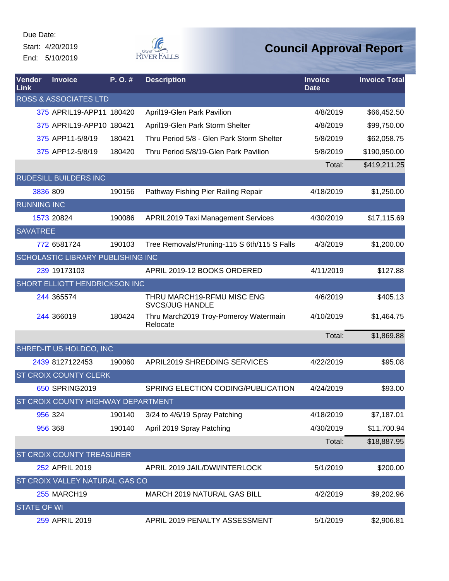Start: 4/20/2019 End: 5/10/2019



| Vendor<br>Link     | <b>Invoice</b>                     | P.O.#  | <b>Description</b>                                   | <b>Invoice</b><br><b>Date</b> | <b>Invoice Total</b> |
|--------------------|------------------------------------|--------|------------------------------------------------------|-------------------------------|----------------------|
|                    | <b>ROSS &amp; ASSOCIATES LTD</b>   |        |                                                      |                               |                      |
|                    | 375 APRIL19-APP11 180420           |        | April19-Glen Park Pavilion                           | 4/8/2019                      | \$66,452.50          |
|                    | 375 APRIL19-APP10 180421           |        | April19-Glen Park Storm Shelter                      | 4/8/2019                      | \$99,750.00          |
|                    | 375 APP11-5/8/19                   | 180421 | Thru Period 5/8 - Glen Park Storm Shelter            | 5/8/2019                      | \$62,058.75          |
|                    | 375 APP12-5/8/19                   | 180420 | Thru Period 5/8/19-Glen Park Pavilion                | 5/8/2019                      | \$190,950.00         |
|                    |                                    |        |                                                      | Total:                        | \$419,211.25         |
|                    | RUDESILL BUILDERS INC              |        |                                                      |                               |                      |
|                    | 3836 809                           | 190156 | Pathway Fishing Pier Railing Repair                  | 4/18/2019                     | \$1,250.00           |
| <b>RUNNING INC</b> |                                    |        |                                                      |                               |                      |
|                    | 1573 20824                         | 190086 | <b>APRIL2019 Taxi Management Services</b>            | 4/30/2019                     | \$17,115.69          |
| <b>SAVATREE</b>    |                                    |        |                                                      |                               |                      |
|                    | 772 6581724                        | 190103 | Tree Removals/Pruning-115 S 6th/115 S Falls          | 4/3/2019                      | \$1,200.00           |
|                    | SCHOLASTIC LIBRARY PUBLISHING INC  |        |                                                      |                               |                      |
|                    | 239 19173103                       |        | APRIL 2019-12 BOOKS ORDERED                          | 4/11/2019                     | \$127.88             |
|                    | SHORT ELLIOTT HENDRICKSON INC      |        |                                                      |                               |                      |
|                    | 244 365574                         |        | THRU MARCH19-RFMU MISC ENG<br><b>SVCS/JUG HANDLE</b> | 4/6/2019                      | \$405.13             |
|                    | 244 366019                         | 180424 | Thru March2019 Troy-Pomeroy Watermain<br>Relocate    | 4/10/2019                     | \$1,464.75           |
|                    |                                    |        |                                                      | Total:                        | \$1,869.88           |
|                    | SHRED-IT US HOLDCO, INC            |        |                                                      |                               |                      |
|                    | 2439 8127122453                    | 190060 | APRIL2019 SHREDDING SERVICES                         | 4/22/2019                     | \$95.08              |
|                    | ST CROIX COUNTY CLERK              |        |                                                      |                               |                      |
|                    | 650 SPRING2019                     |        | SPRING ELECTION CODING/PUBLICATION                   | 4/24/2019                     | \$93.00              |
|                    | ST CROIX COUNTY HIGHWAY DEPARTMENT |        |                                                      |                               |                      |
|                    | 956 324                            | 190140 | 3/24 to 4/6/19 Spray Patching                        | 4/18/2019                     | \$7,187.01           |
|                    | 956 368                            | 190140 | April 2019 Spray Patching                            | 4/30/2019                     | \$11,700.94          |
|                    |                                    |        |                                                      | Total:                        | \$18,887.95          |
|                    | ST CROIX COUNTY TREASURER          |        |                                                      |                               |                      |
|                    | 252 APRIL 2019                     |        | APRIL 2019 JAIL/DWI/INTERLOCK                        | 5/1/2019                      | \$200.00             |
|                    | ST CROIX VALLEY NATURAL GAS CO     |        |                                                      |                               |                      |
|                    | <b>255 MARCH19</b>                 |        | MARCH 2019 NATURAL GAS BILL                          | 4/2/2019                      | \$9,202.96           |
| <b>STATE OF WI</b> |                                    |        |                                                      |                               |                      |
|                    | 259 APRIL 2019                     |        | APRIL 2019 PENALTY ASSESSMENT                        | 5/1/2019                      | \$2,906.81           |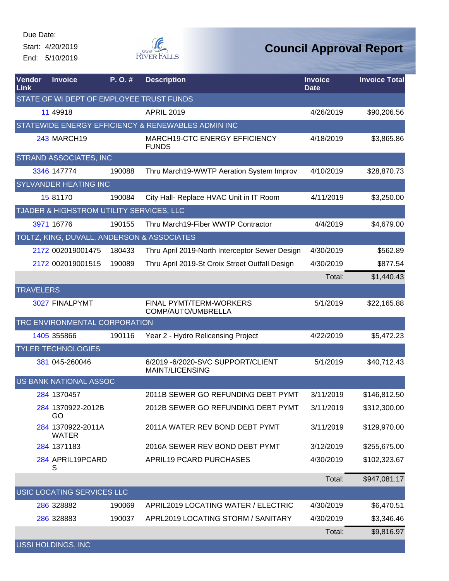Start: 4/20/2019 End: 5/10/2019



| Vendor<br>Link   | <b>Invoice</b>                             | P.O.#  | <b>Description</b>                                      | <b>Invoice</b><br><b>Date</b> | <b>Invoice Total</b> |
|------------------|--------------------------------------------|--------|---------------------------------------------------------|-------------------------------|----------------------|
|                  | STATE OF WI DEPT OF EMPLOYEE TRUST FUNDS   |        |                                                         |                               |                      |
|                  | 11 49918                                   |        | <b>APRIL 2019</b>                                       | 4/26/2019                     | \$90,206.56          |
|                  |                                            |        | STATEWIDE ENERGY EFFICIENCY & RENEWABLES ADMIN INC      |                               |                      |
|                  | <b>243 MARCH19</b>                         |        | <b>MARCH19-CTC ENERGY EFFICIENCY</b><br><b>FUNDS</b>    | 4/18/2019                     | \$3,865.86           |
|                  | <b>STRAND ASSOCIATES, INC</b>              |        |                                                         |                               |                      |
|                  | 3346 147774                                | 190088 | Thru March19-WWTP Aeration System Improv                | 4/10/2019                     | \$28,870.73          |
|                  | <b>SYLVANDER HEATING INC</b>               |        |                                                         |                               |                      |
|                  | 15 81170                                   | 190084 | City Hall- Replace HVAC Unit in IT Room                 | 4/11/2019                     | \$3,250.00           |
|                  | TJADER & HIGHSTROM UTILITY SERVICES, LLC   |        |                                                         |                               |                      |
|                  | 3971 16776                                 | 190155 | Thru March19-Fiber WWTP Contractor                      | 4/4/2019                      | \$4,679.00           |
|                  | TOLTZ, KING, DUVALL, ANDERSON & ASSOCIATES |        |                                                         |                               |                      |
|                  | 2172 002019001475                          | 180433 | Thru April 2019-North Interceptor Sewer Design          | 4/30/2019                     | \$562.89             |
|                  | 2172 002019001515                          | 190089 | Thru April 2019-St Croix Street Outfall Design          | 4/30/2019                     | \$877.54             |
|                  |                                            |        |                                                         | Total:                        | \$1,440.43           |
| <b>TRAVELERS</b> |                                            |        |                                                         |                               |                      |
|                  | 3027 FINALPYMT                             |        | FINAL PYMT/TERM-WORKERS<br>COMP/AUTO/UMBRELLA           | 5/1/2019                      | \$22,165.88          |
|                  | TRC ENVIRONMENTAL CORPORATION              |        |                                                         |                               |                      |
|                  | 1405 355866                                | 190116 | Year 2 - Hydro Relicensing Project                      | 4/22/2019                     | \$5,472.23           |
|                  | <b>TYLER TECHNOLOGIES</b>                  |        |                                                         |                               |                      |
|                  | 381 045-260046                             |        | 6/2019 - 6/2020 - SVC SUPPORT/CLIENT<br>MAINT/LICENSING | 5/1/2019                      | \$40,712.43          |
|                  | US BANK NATIONAL ASSOC                     |        |                                                         |                               |                      |
|                  | 284 1370457                                |        | 2011B SEWER GO REFUNDING DEBT PYMT                      | 3/11/2019                     | \$146,812.50         |
|                  | 284 1370922-2012B<br>GO                    |        | 2012B SEWER GO REFUNDING DEBT PYMT                      | 3/11/2019                     | \$312,300.00         |
|                  | 284 1370922-2011A<br><b>WATER</b>          |        | 2011A WATER REV BOND DEBT PYMT                          | 3/11/2019                     | \$129,970.00         |
|                  | 284 1371183                                |        | 2016A SEWER REV BOND DEBT PYMT                          | 3/12/2019                     | \$255,675.00         |
|                  | 284 APRIL19PCARD<br>S                      |        | APRIL19 PCARD PURCHASES                                 | 4/30/2019                     | \$102,323.67         |
|                  |                                            |        |                                                         | Total:                        | \$947,081.17         |
|                  | USIC LOCATING SERVICES LLC                 |        |                                                         |                               |                      |
|                  | 286 328882                                 | 190069 | APRIL2019 LOCATING WATER / ELECTRIC                     | 4/30/2019                     | \$6,470.51           |
|                  | 286 328883                                 | 190037 | APRL2019 LOCATING STORM / SANITARY                      | 4/30/2019                     | \$3,346.46           |
|                  |                                            |        |                                                         | Total:                        | \$9,816.97           |
|                  | <b>USSI HOLDINGS, INC</b>                  |        |                                                         |                               |                      |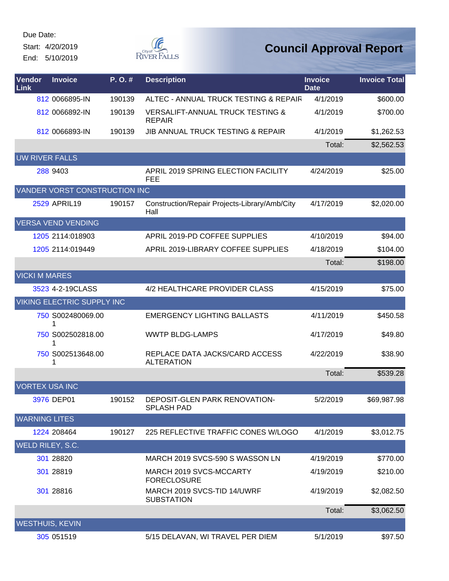Start: 4/20/2019 End: 5/10/2019



| <b>Vendor</b><br>Link  | <b>Invoice</b>                    | P.O.#  | <b>Description</b>                                           | <b>Invoice</b><br><b>Date</b> | <b>Invoice Total</b> |
|------------------------|-----------------------------------|--------|--------------------------------------------------------------|-------------------------------|----------------------|
|                        | 812 0066895-IN                    | 190139 | ALTEC - ANNUAL TRUCK TESTING & REPAIR                        | 4/1/2019                      | \$600.00             |
|                        | 812 0066892-IN                    | 190139 | <b>VERSALIFT-ANNUAL TRUCK TESTING &amp;</b><br><b>REPAIR</b> | 4/1/2019                      | \$700.00             |
|                        | 812 0066893-IN                    | 190139 | <b>JIB ANNUAL TRUCK TESTING &amp; REPAIR</b>                 | 4/1/2019                      | \$1,262.53           |
|                        |                                   |        |                                                              | Total:                        | \$2,562.53           |
| <b>UW RIVER FALLS</b>  |                                   |        |                                                              |                               |                      |
|                        | 288 9403                          |        | APRIL 2019 SPRING ELECTION FACILITY<br><b>FEE</b>            | 4/24/2019                     | \$25.00              |
|                        | VANDER VORST CONSTRUCTION INC     |        |                                                              |                               |                      |
|                        | 2529 APRIL19                      | 190157 | Construction/Repair Projects-Library/Amb/City<br>Hall        | 4/17/2019                     | \$2,020.00           |
|                        | <b>VERSA VEND VENDING</b>         |        |                                                              |                               |                      |
|                        | 1205 2114:018903                  |        | APRIL 2019-PD COFFEE SUPPLIES                                | 4/10/2019                     | \$94.00              |
|                        | 1205 2114:019449                  |        | APRIL 2019-LIBRARY COFFEE SUPPLIES                           | 4/18/2019                     | \$104.00             |
|                        |                                   |        |                                                              | Total:                        | \$198.00             |
| <b>VICKI M MARES</b>   |                                   |        |                                                              |                               |                      |
|                        | 3523 4-2-19CLASS                  |        | 4/2 HEALTHCARE PROVIDER CLASS                                | 4/15/2019                     | \$75.00              |
|                        | <b>VIKING ELECTRIC SUPPLY INC</b> |        |                                                              |                               |                      |
|                        | 750 S002480069.00<br>1            |        | <b>EMERGENCY LIGHTING BALLASTS</b>                           | 4/11/2019                     | \$450.58             |
|                        | 750 S002502818.00<br>1            |        | <b>WWTP BLDG-LAMPS</b>                                       | 4/17/2019                     | \$49.80              |
|                        | 750 S002513648.00<br>1            |        | REPLACE DATA JACKS/CARD ACCESS<br><b>ALTERATION</b>          | 4/22/2019                     | \$38.90              |
|                        |                                   |        |                                                              | Total:                        | \$539.28             |
| <b>VORTEX USA INC</b>  |                                   |        |                                                              |                               |                      |
|                        | 3976 DEP01                        | 190152 | DEPOSIT-GLEN PARK RENOVATION-<br><b>SPLASH PAD</b>           | 5/2/2019                      | \$69,987.98          |
| <b>WARNING LITES</b>   |                                   |        |                                                              |                               |                      |
|                        | 1224 208464                       | 190127 | 225 REFLECTIVE TRAFFIC CONES W/LOGO                          | 4/1/2019                      | \$3,012.75           |
| WELD RILEY, S.C.       |                                   |        |                                                              |                               |                      |
|                        | 301 28820                         |        | MARCH 2019 SVCS-590 S WASSON LN                              | 4/19/2019                     | \$770.00             |
|                        | 301 28819                         |        | MARCH 2019 SVCS-MCCARTY<br><b>FORECLOSURE</b>                | 4/19/2019                     | \$210.00             |
|                        | 301 28816                         |        | MARCH 2019 SVCS-TID 14/UWRF<br><b>SUBSTATION</b>             | 4/19/2019                     | \$2,082.50           |
|                        |                                   |        |                                                              | Total:                        | \$3,062.50           |
| <b>WESTHUIS, KEVIN</b> |                                   |        |                                                              |                               |                      |
|                        | 305 051519                        |        | 5/15 DELAVAN, WI TRAVEL PER DIEM                             | 5/1/2019                      | \$97.50              |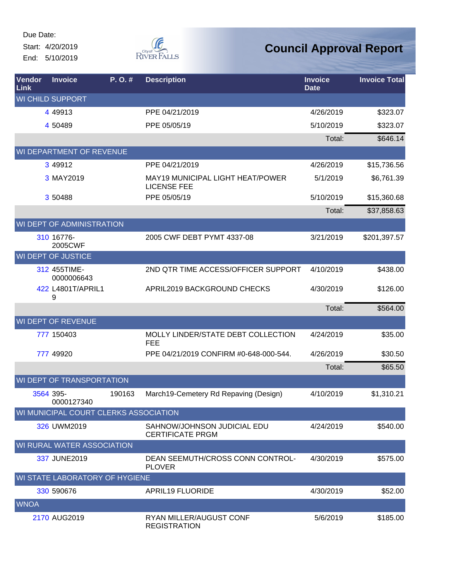Start: 4/20/2019 End: 5/10/2019



| Vendor<br>Link | <b>Invoice</b>                        | P.O.#  | <b>Description</b>                                     | <b>Invoice</b><br><b>Date</b> | <b>Invoice Total</b> |
|----------------|---------------------------------------|--------|--------------------------------------------------------|-------------------------------|----------------------|
|                | <b>WI CHILD SUPPORT</b>               |        |                                                        |                               |                      |
|                | 4 4 9 9 1 3                           |        | PPE 04/21/2019                                         | 4/26/2019                     | \$323.07             |
|                | 4 50489                               |        | PPE 05/05/19                                           | 5/10/2019                     | \$323.07             |
|                |                                       |        |                                                        | Total:                        | \$646.14             |
|                | WI DEPARTMENT OF REVENUE              |        |                                                        |                               |                      |
|                | 3 49912                               |        | PPE 04/21/2019                                         | 4/26/2019                     | \$15,736.56          |
|                | 3 MAY2019                             |        | MAY19 MUNICIPAL LIGHT HEAT/POWER<br><b>LICENSE FEE</b> | 5/1/2019                      | \$6,761.39           |
|                | 3 50488                               |        | PPE 05/05/19                                           | 5/10/2019                     | \$15,360.68          |
|                |                                       |        |                                                        | Total:                        | \$37,858.63          |
|                | WI DEPT OF ADMINISTRATION             |        |                                                        |                               |                      |
|                | 310 16776-<br>2005CWF                 |        | 2005 CWF DEBT PYMT 4337-08                             | 3/21/2019                     | \$201,397.57         |
|                | <b>WI DEPT OF JUSTICE</b>             |        |                                                        |                               |                      |
|                | 312 455TIME-<br>0000006643            |        | 2ND QTR TIME ACCESS/OFFICER SUPPORT                    | 4/10/2019                     | \$438.00             |
|                | 422 L4801T/APRIL1<br>9                |        | APRIL2019 BACKGROUND CHECKS                            | 4/30/2019                     | \$126.00             |
|                |                                       |        |                                                        | Total:                        | \$564.00             |
|                | WI DEPT OF REVENUE                    |        |                                                        |                               |                      |
|                | 777 150403                            |        | MOLLY LINDER/STATE DEBT COLLECTION<br><b>FEE</b>       | 4/24/2019                     | \$35.00              |
|                | 777 49920                             |        | PPE 04/21/2019 CONFIRM #0-648-000-544.                 | 4/26/2019                     | \$30.50              |
|                |                                       |        |                                                        | Total:                        | \$65.50              |
|                | WI DEPT OF TRANSPORTATION             |        |                                                        |                               |                      |
|                | 3564 395-<br>0000127340               | 190163 | March19-Cemetery Rd Repaving (Design)                  | 4/10/2019                     | \$1,310.21           |
|                | WI MUNICIPAL COURT CLERKS ASSOCIATION |        |                                                        |                               |                      |
|                | 326 UWM2019                           |        | SAHNOW/JOHNSON JUDICIAL EDU<br><b>CERTIFICATE PRGM</b> | 4/24/2019                     | \$540.00             |
|                | WI RURAL WATER ASSOCIATION            |        |                                                        |                               |                      |
|                | 337 JUNE2019                          |        | DEAN SEEMUTH/CROSS CONN CONTROL-<br><b>PLOVER</b>      | 4/30/2019                     | \$575.00             |
|                | WI STATE LABORATORY OF HYGIENE        |        |                                                        |                               |                      |
|                | 330 590676                            |        | <b>APRIL19 FLUORIDE</b>                                | 4/30/2019                     | \$52.00              |
| <b>WNOA</b>    |                                       |        |                                                        |                               |                      |
|                | 2170 AUG2019                          |        | RYAN MILLER/AUGUST CONF<br><b>REGISTRATION</b>         | 5/6/2019                      | \$185.00             |